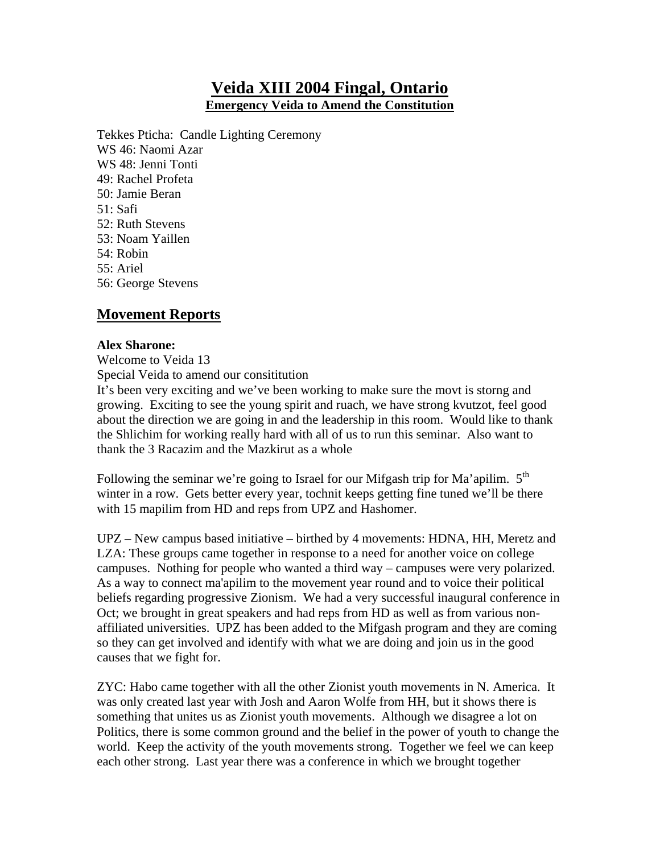# **Veida XIII 2004 Fingal, Ontario Emergency Veida to Amend the Constitution**

Tekkes Pticha: Candle Lighting Ceremony WS 46: Naomi Azar WS 48: Jenni Tonti 49: Rachel Profeta 50: Jamie Beran 51: Safi 52: Ruth Stevens 53: Noam Yaillen 54: Robin 55: Ariel 56: George Stevens

# **Movement Reports**

## **Alex Sharone:**

Welcome to Veida 13 Special Veida to amend our consititution It's been very exciting and we've been working to make sure the movt is storng and growing. Exciting to see the young spirit and ruach, we have strong kvutzot, feel good about the direction we are going in and the leadership in this room. Would like to thank the Shlichim for working really hard with all of us to run this seminar. Also want to thank the 3 Racazim and the Mazkirut as a whole

Following the seminar we're going to Israel for our Mifgash trip for Ma'apilim. 5<sup>th</sup> winter in a row. Gets better every year, tochnit keeps getting fine tuned we'll be there with 15 mapilim from HD and reps from UPZ and Hashomer.

UPZ – New campus based initiative – birthed by 4 movements: HDNA, HH, Meretz and LZA: These groups came together in response to a need for another voice on college campuses. Nothing for people who wanted a third way – campuses were very polarized. As a way to connect ma'apilim to the movement year round and to voice their political beliefs regarding progressive Zionism. We had a very successful inaugural conference in Oct; we brought in great speakers and had reps from HD as well as from various nonaffiliated universities. UPZ has been added to the Mifgash program and they are coming so they can get involved and identify with what we are doing and join us in the good causes that we fight for.

ZYC: Habo came together with all the other Zionist youth movements in N. America. It was only created last year with Josh and Aaron Wolfe from HH, but it shows there is something that unites us as Zionist youth movements. Although we disagree a lot on Politics, there is some common ground and the belief in the power of youth to change the world. Keep the activity of the youth movements strong. Together we feel we can keep each other strong. Last year there was a conference in which we brought together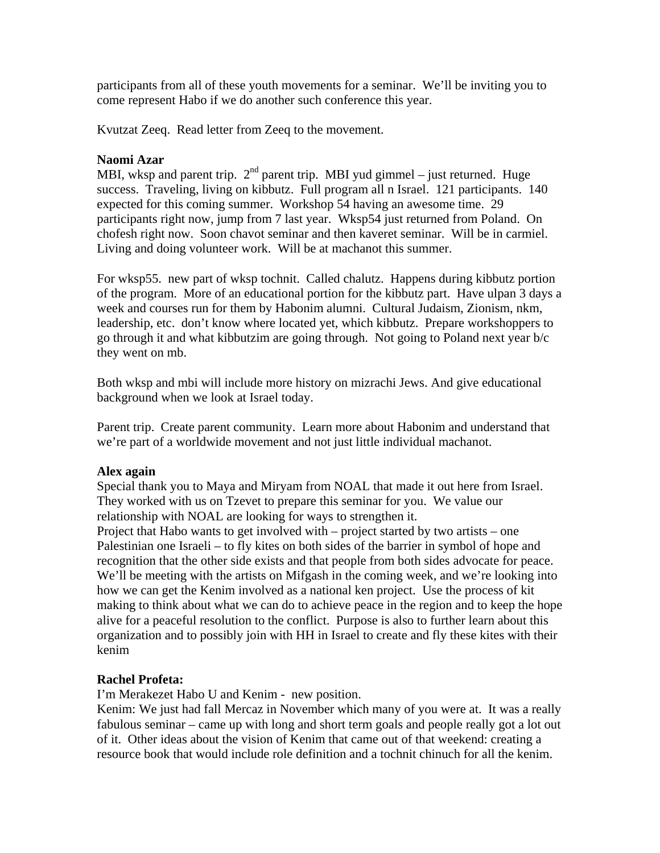participants from all of these youth movements for a seminar. We'll be inviting you to come represent Habo if we do another such conference this year.

Kvutzat Zeeq. Read letter from Zeeq to the movement.

## **Naomi Azar**

MBI, wksp and parent trip.  $2<sup>nd</sup>$  parent trip. MBI yud gimmel – just returned. Huge success. Traveling, living on kibbutz. Full program all n Israel. 121 participants. 140 expected for this coming summer. Workshop 54 having an awesome time. 29 participants right now, jump from 7 last year. Wksp54 just returned from Poland. On chofesh right now. Soon chavot seminar and then kaveret seminar. Will be in carmiel. Living and doing volunteer work. Will be at machanot this summer.

For wksp55. new part of wksp tochnit. Called chalutz. Happens during kibbutz portion of the program. More of an educational portion for the kibbutz part. Have ulpan 3 days a week and courses run for them by Habonim alumni. Cultural Judaism, Zionism, nkm, leadership, etc. don't know where located yet, which kibbutz. Prepare workshoppers to go through it and what kibbutzim are going through. Not going to Poland next year b/c they went on mb.

Both wksp and mbi will include more history on mizrachi Jews. And give educational background when we look at Israel today.

Parent trip. Create parent community. Learn more about Habonim and understand that we're part of a worldwide movement and not just little individual machanot.

## **Alex again**

Special thank you to Maya and Miryam from NOAL that made it out here from Israel. They worked with us on Tzevet to prepare this seminar for you. We value our relationship with NOAL are looking for ways to strengthen it.

Project that Habo wants to get involved with – project started by two artists – one Palestinian one Israeli – to fly kites on both sides of the barrier in symbol of hope and recognition that the other side exists and that people from both sides advocate for peace. We'll be meeting with the artists on Mifgash in the coming week, and we're looking into how we can get the Kenim involved as a national ken project. Use the process of kit making to think about what we can do to achieve peace in the region and to keep the hope alive for a peaceful resolution to the conflict. Purpose is also to further learn about this organization and to possibly join with HH in Israel to create and fly these kites with their kenim

# **Rachel Profeta:**

I'm Merakezet Habo U and Kenim - new position.

Kenim: We just had fall Mercaz in November which many of you were at. It was a really fabulous seminar – came up with long and short term goals and people really got a lot out of it. Other ideas about the vision of Kenim that came out of that weekend: creating a resource book that would include role definition and a tochnit chinuch for all the kenim.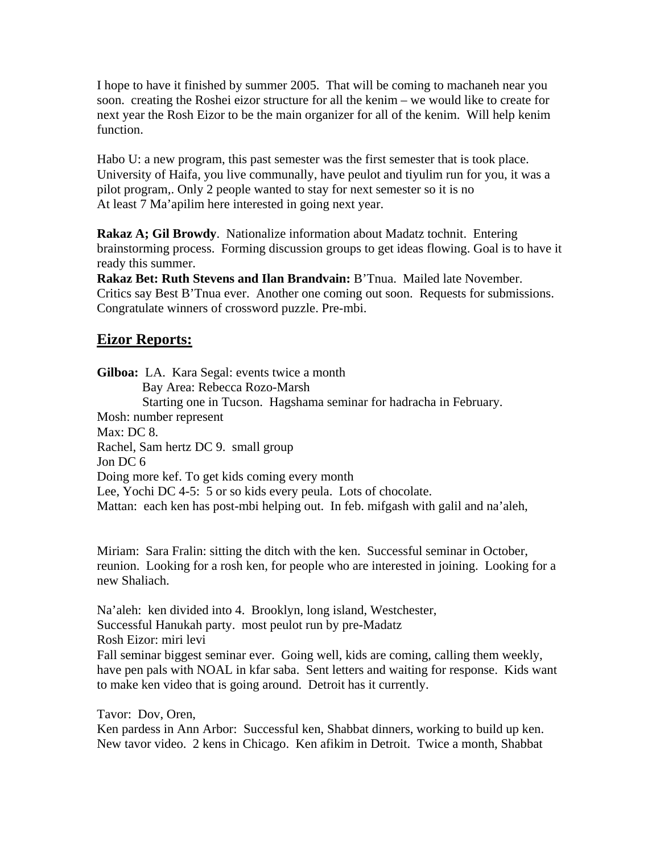I hope to have it finished by summer 2005. That will be coming to machaneh near you soon. creating the Roshei eizor structure for all the kenim – we would like to create for next year the Rosh Eizor to be the main organizer for all of the kenim. Will help kenim function.

Habo U: a new program, this past semester was the first semester that is took place. University of Haifa, you live communally, have peulot and tiyulim run for you, it was a pilot program,. Only 2 people wanted to stay for next semester so it is no At least 7 Ma'apilim here interested in going next year.

**Rakaz A; Gil Browdy**. Nationalize information about Madatz tochnit. Entering brainstorming process. Forming discussion groups to get ideas flowing. Goal is to have it ready this summer.

**Rakaz Bet: Ruth Stevens and Ilan Brandvain:** B'Tnua. Mailed late November. Critics say Best B'Tnua ever. Another one coming out soon. Requests for submissions. Congratulate winners of crossword puzzle. Pre-mbi.

# **Eizor Reports:**

**Gilboa:** LA. Kara Segal: events twice a month Bay Area: Rebecca Rozo-Marsh Starting one in Tucson. Hagshama seminar for hadracha in February. Mosh: number represent Max: DC 8. Rachel, Sam hertz DC 9. small group Jon DC 6 Doing more kef. To get kids coming every month Lee, Yochi DC 4-5: 5 or so kids every peula. Lots of chocolate. Mattan: each ken has post-mbi helping out. In feb. mifgash with galil and na'aleh,

Miriam: Sara Fralin: sitting the ditch with the ken. Successful seminar in October, reunion. Looking for a rosh ken, for people who are interested in joining. Looking for a new Shaliach.

Na'aleh: ken divided into 4. Brooklyn, long island, Westchester, Successful Hanukah party. most peulot run by pre-Madatz Rosh Eizor: miri levi Fall seminar biggest seminar ever. Going well, kids are coming, calling them weekly, have pen pals with NOAL in kfar saba. Sent letters and waiting for response. Kids want to make ken video that is going around. Detroit has it currently.

Tavor: Dov, Oren,

Ken pardess in Ann Arbor: Successful ken, Shabbat dinners, working to build up ken. New tavor video. 2 kens in Chicago. Ken afikim in Detroit. Twice a month, Shabbat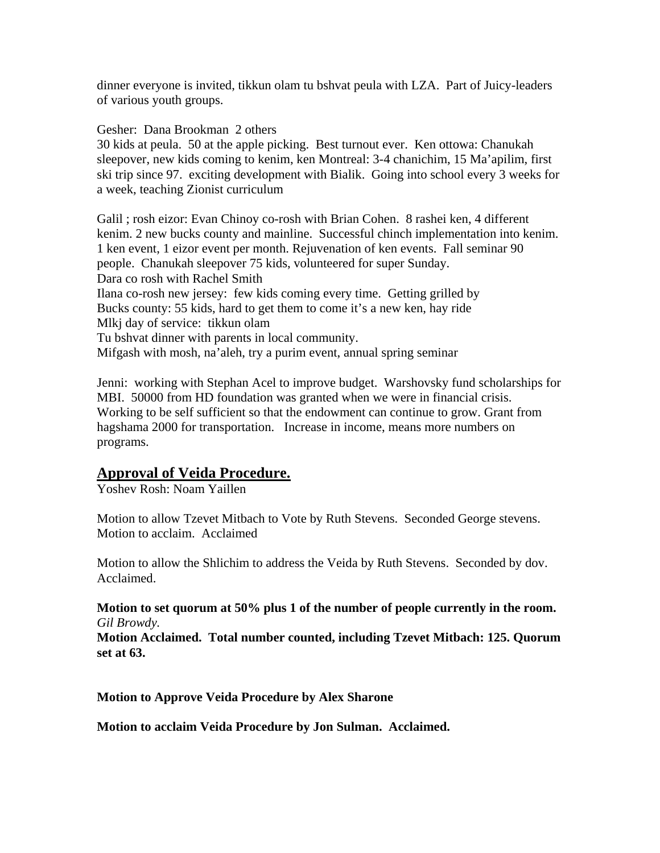dinner everyone is invited, tikkun olam tu bshvat peula with LZA. Part of Juicy-leaders of various youth groups.

Gesher: Dana Brookman 2 others

30 kids at peula. 50 at the apple picking. Best turnout ever. Ken ottowa: Chanukah sleepover, new kids coming to kenim, ken Montreal: 3-4 chanichim, 15 Ma'apilim, first ski trip since 97. exciting development with Bialik. Going into school every 3 weeks for a week, teaching Zionist curriculum

Galil ; rosh eizor: Evan Chinoy co-rosh with Brian Cohen. 8 rashei ken, 4 different kenim. 2 new bucks county and mainline. Successful chinch implementation into kenim. 1 ken event, 1 eizor event per month. Rejuvenation of ken events. Fall seminar 90 people. Chanukah sleepover 75 kids, volunteered for super Sunday. Dara co rosh with Rachel Smith Ilana co-rosh new jersey: few kids coming every time. Getting grilled by Bucks county: 55 kids, hard to get them to come it's a new ken, hay ride Mlkj day of service: tikkun olam Tu bshvat dinner with parents in local community. Mifgash with mosh, na'aleh, try a purim event, annual spring seminar

Jenni: working with Stephan Acel to improve budget. Warshovsky fund scholarships for MBI. 50000 from HD foundation was granted when we were in financial crisis. Working to be self sufficient so that the endowment can continue to grow. Grant from hagshama 2000 for transportation. Increase in income, means more numbers on programs.

# **Approval of Veida Procedure.**

Yoshev Rosh: Noam Yaillen

Motion to allow Tzevet Mitbach to Vote by Ruth Stevens. Seconded George stevens. Motion to acclaim. Acclaimed

Motion to allow the Shlichim to address the Veida by Ruth Stevens. Seconded by dov. Acclaimed.

#### **Motion to set quorum at 50% plus 1 of the number of people currently in the room.** *Gil Browdy.*

**Motion Acclaimed. Total number counted, including Tzevet Mitbach: 125. Quorum set at 63.** 

**Motion to Approve Veida Procedure by Alex Sharone**

**Motion to acclaim Veida Procedure by Jon Sulman. Acclaimed.**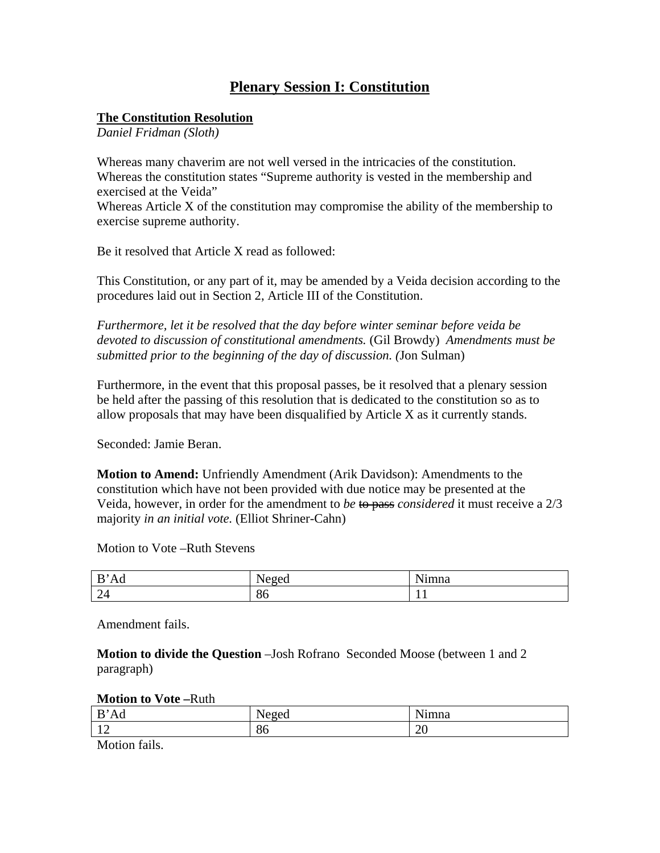# **Plenary Session I: Constitution**

## **The Constitution Resolution**

*Daniel Fridman (Sloth)* 

Whereas many chaverim are not well versed in the intricacies of the constitution. Whereas the constitution states "Supreme authority is vested in the membership and exercised at the Veida"

Whereas Article X of the constitution may compromise the ability of the membership to exercise supreme authority.

Be it resolved that Article X read as followed:

This Constitution, or any part of it, may be amended by a Veida decision according to the procedures laid out in Section 2, Article III of the Constitution.

*Furthermore, let it be resolved that the day before winter seminar before veida be devoted to discussion of constitutional amendments.* (Gil Browdy) *Amendments must be submitted prior to the beginning of the day of discussion. (*Jon Sulman)

Furthermore, in the event that this proposal passes, be it resolved that a plenary session be held after the passing of this resolution that is dedicated to the constitution so as to allow proposals that may have been disqualified by Article X as it currently stands.

Seconded: Jamie Beran.

**Motion to Amend:** Unfriendly Amendment (Arik Davidson): Amendments to the constitution which have not been provided with due notice may be presented at the Veida, however, in order for the amendment to *be* to pass *considered* it must receive a 2/3 majority *in an initial vote.* (Elliot Shriner-Cahn)

Motion to Vote –Ruth Stevens

| $\mathbf{r}$<br>Ad<br>≖        | . .<br>JAOAC<br>N<br>10au | NT:<br>ımna |
|--------------------------------|---------------------------|-------------|
| 24<br>$\overline{\phantom{0}}$ | $Q_{L}$<br>$\delta$       | . .         |

Amendment fails.

**Motion to divide the Question** –Josh Rofrano Seconded Moose (between 1 and 2 paragraph)

**Motion to Vote –**Ruth

| B'<br>Ad                                   | <br>$Y^{\alpha}$<br><b>TUZUU</b> | $\mathbf{v}$<br>ımna |
|--------------------------------------------|----------------------------------|----------------------|
| 1 <sub>0</sub><br>$\overline{\phantom{0}}$ | $\circ$<br>$\circ$               | $\bigcap$<br>∠∪      |
| $\sim$ $\sim$<br>----                      |                                  |                      |

Motion fails.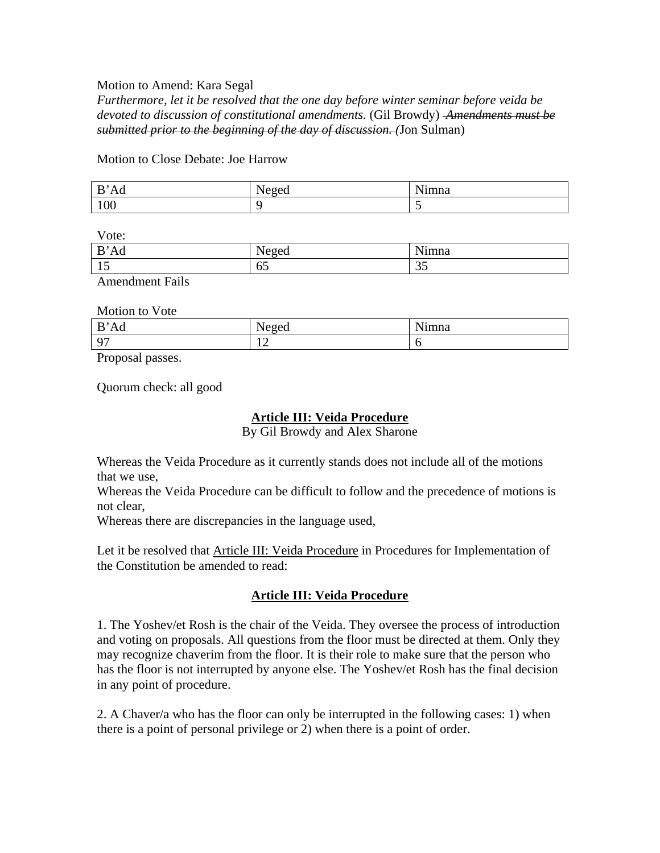#### Motion to Amend: Kara Segal

*Furthermore, let it be resolved that the one day before winter seminar before veida be devoted to discussion of constitutional amendments.* (Gil Browdy) *Amendments must be submitted prior to the beginning of the day of discussion. (*Jon Sulman)

#### Motion to Close Debate: Joe Harrow

| D<br>`Ad<br>D | <br>$\Delta \Omega$<br>wu | $\mathbf{v}$<br>!mna |
|---------------|---------------------------|----------------------|
| 100           |                           | ~                    |

Vote:

| B'Ad                   | Neger<br><b>INVEVU</b> | Ni<br>'mna          |
|------------------------|------------------------|---------------------|
| ⊥ັ                     | 65                     | $\sim$ $\sim$<br>JJ |
| <b>Amendment Fails</b> |                        |                     |

Motion to Vote

| B<br>Ad  | <b>A T</b><br>൧൹൧<br>-cu | $\mathbf{v}$<br>≀ımna |
|----------|--------------------------|-----------------------|
| $\Omega$ | $\sim$<br>$-$            |                       |

Proposal passes.

Quorum check: all good

# **Article III: Veida Procedure**

By Gil Browdy and Alex Sharone

Whereas the Veida Procedure as it currently stands does not include all of the motions that we use,

Whereas the Veida Procedure can be difficult to follow and the precedence of motions is not clear,

Whereas there are discrepancies in the language used,

Let it be resolved that Article III: Veida Procedure in Procedures for Implementation of the Constitution be amended to read:

# **Article III: Veida Procedure**

1. The Yoshev/et Rosh is the chair of the Veida. They oversee the process of introduction and voting on proposals. All questions from the floor must be directed at them. Only they may recognize chaverim from the floor. It is their role to make sure that the person who has the floor is not interrupted by anyone else. The Yoshev/et Rosh has the final decision in any point of procedure.

2. A Chaver/a who has the floor can only be interrupted in the following cases: 1) when there is a point of personal privilege or 2) when there is a point of order.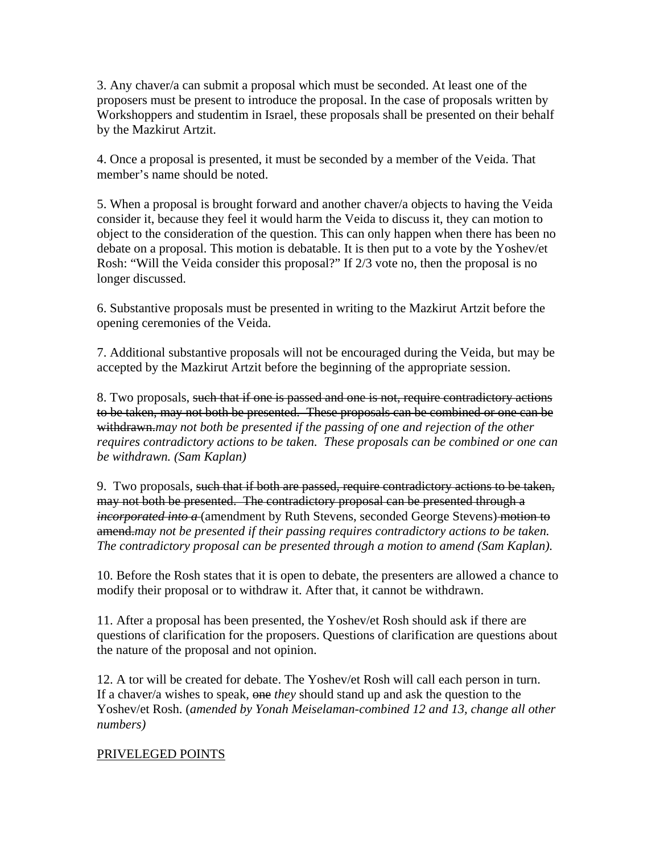3. Any chaver/a can submit a proposal which must be seconded. At least one of the proposers must be present to introduce the proposal. In the case of proposals written by Workshoppers and studentim in Israel, these proposals shall be presented on their behalf by the Mazkirut Artzit.

4. Once a proposal is presented, it must be seconded by a member of the Veida. That member's name should be noted.

5. When a proposal is brought forward and another chaver/a objects to having the Veida consider it, because they feel it would harm the Veida to discuss it, they can motion to object to the consideration of the question. This can only happen when there has been no debate on a proposal. This motion is debatable. It is then put to a vote by the Yoshev/et Rosh: "Will the Veida consider this proposal?" If 2/3 vote no, then the proposal is no longer discussed.

6. Substantive proposals must be presented in writing to the Mazkirut Artzit before the opening ceremonies of the Veida.

7. Additional substantive proposals will not be encouraged during the Veida, but may be accepted by the Mazkirut Artzit before the beginning of the appropriate session.

8. Two proposals, such that if one is passed and one is not, require contradictory actions to be taken, may not both be presented. These proposals can be combined or one can be withdrawn.*may not both be presented if the passing of one and rejection of the other requires contradictory actions to be taken. These proposals can be combined or one can be withdrawn. (Sam Kaplan)*

9. Two proposals, such that if both are passed, require contradictory actions to be taken, may not both be presented. The contradictory proposal can be presented through a *incorporated into a* (amendment by Ruth Stevens, seconded George Stevens) motion to amend.*may not be presented if their passing requires contradictory actions to be taken. The contradictory proposal can be presented through a motion to amend (Sam Kaplan).*

10. Before the Rosh states that it is open to debate, the presenters are allowed a chance to modify their proposal or to withdraw it. After that, it cannot be withdrawn.

11. After a proposal has been presented, the Yoshev/et Rosh should ask if there are questions of clarification for the proposers. Questions of clarification are questions about the nature of the proposal and not opinion.

12. A tor will be created for debate. The Yoshev/et Rosh will call each person in turn. If a chaver/a wishes to speak, one *they* should stand up and ask the question to the Yoshev/et Rosh. (*amended by Yonah Meiselaman-combined 12 and 13, change all other numbers)*

## PRIVELEGED POINTS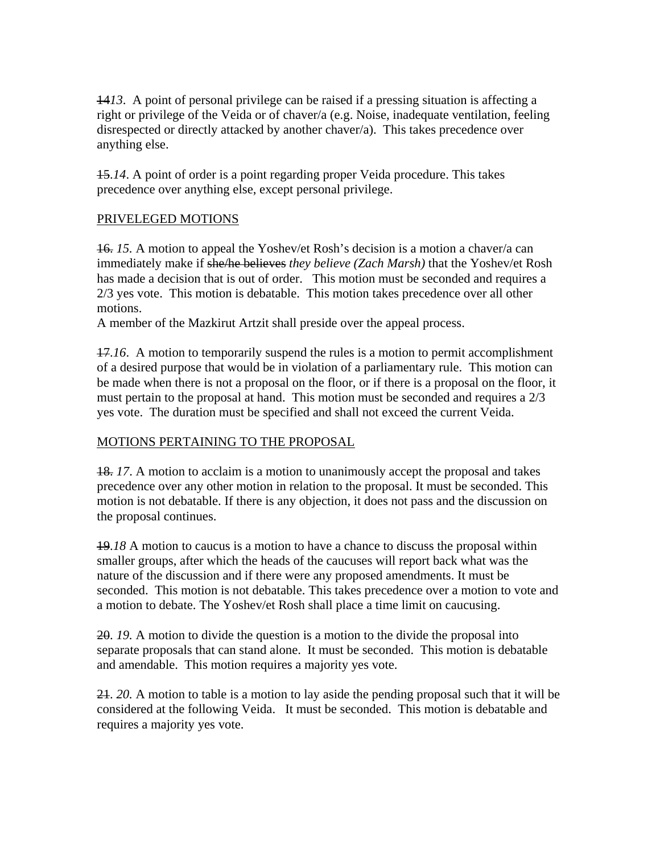14*13*. A point of personal privilege can be raised if a pressing situation is affecting a right or privilege of the Veida or of chaver/a (e.g. Noise, inadequate ventilation, feeling disrespected or directly attacked by another chaver/a). This takes precedence over anything else.

15.*14*. A point of order is a point regarding proper Veida procedure. This takes precedence over anything else, except personal privilege.

# PRIVELEGED MOTIONS

16. *15.* A motion to appeal the Yoshev/et Rosh's decision is a motion a chaver/a can immediately make if she/he believes *they believe (Zach Marsh)* that the Yoshev/et Rosh has made a decision that is out of order. This motion must be seconded and requires a 2/3 yes vote. This motion is debatable. This motion takes precedence over all other motions.

A member of the Mazkirut Artzit shall preside over the appeal process.

17.*16*. A motion to temporarily suspend the rules is a motion to permit accomplishment of a desired purpose that would be in violation of a parliamentary rule. This motion can be made when there is not a proposal on the floor, or if there is a proposal on the floor, it must pertain to the proposal at hand. This motion must be seconded and requires a 2/3 yes vote. The duration must be specified and shall not exceed the current Veida.

# MOTIONS PERTAINING TO THE PROPOSAL

18. *17*. A motion to acclaim is a motion to unanimously accept the proposal and takes precedence over any other motion in relation to the proposal. It must be seconded. This motion is not debatable. If there is any objection, it does not pass and the discussion on the proposal continues.

19.*18* A motion to caucus is a motion to have a chance to discuss the proposal within smaller groups, after which the heads of the caucuses will report back what was the nature of the discussion and if there were any proposed amendments. It must be seconded. This motion is not debatable. This takes precedence over a motion to vote and a motion to debate. The Yoshev/et Rosh shall place a time limit on caucusing.

20. *19.* A motion to divide the question is a motion to the divide the proposal into separate proposals that can stand alone. It must be seconded. This motion is debatable and amendable. This motion requires a majority yes vote.

21. *20.* A motion to table is a motion to lay aside the pending proposal such that it will be considered at the following Veida. It must be seconded. This motion is debatable and requires a majority yes vote.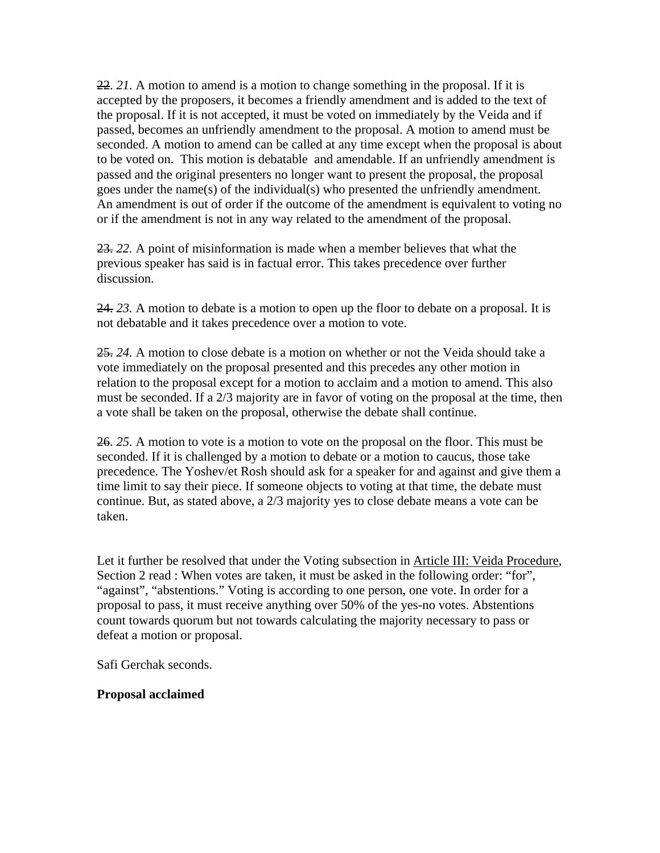22. *21.* A motion to amend is a motion to change something in the proposal. If it is accepted by the proposers, it becomes a friendly amendment and is added to the text of the proposal. If it is not accepted, it must be voted on immediately by the Veida and if passed, becomes an unfriendly amendment to the proposal. A motion to amend must be seconded. A motion to amend can be called at any time except when the proposal is about to be voted on. This motion is debatable and amendable. If an unfriendly amendment is passed and the original presenters no longer want to present the proposal, the proposal goes under the name(s) of the individual(s) who presented the unfriendly amendment. An amendment is out of order if the outcome of the amendment is equivalent to voting no or if the amendment is not in any way related to the amendment of the proposal.

23. *22.* A point of misinformation is made when a member believes that what the previous speaker has said is in factual error. This takes precedence over further discussion.

24. *23.* A motion to debate is a motion to open up the floor to debate on a proposal. It is not debatable and it takes precedence over a motion to vote.

25. *24.* A motion to close debate is a motion on whether or not the Veida should take a vote immediately on the proposal presented and this precedes any other motion in relation to the proposal except for a motion to acclaim and a motion to amend. This also must be seconded. If a 2/3 majority are in favor of voting on the proposal at the time, then a vote shall be taken on the proposal, otherwise the debate shall continue.

26. *25.* A motion to vote is a motion to vote on the proposal on the floor. This must be seconded. If it is challenged by a motion to debate or a motion to caucus, those take precedence. The Yoshev/et Rosh should ask for a speaker for and against and give them a time limit to say their piece. If someone objects to voting at that time, the debate must continue. But, as stated above, a 2/3 majority yes to close debate means a vote can be taken.

Let it further be resolved that under the Voting subsection in Article III: Veida Procedure, Section 2 read : When votes are taken, it must be asked in the following order: "for", "against", "abstentions." Voting is according to one person, one vote. In order for a proposal to pass, it must receive anything over 50% of the yes-no votes. Abstentions count towards quorum but not towards calculating the majority necessary to pass or defeat a motion or proposal.

Safi Gerchak seconds.

## **Proposal acclaimed**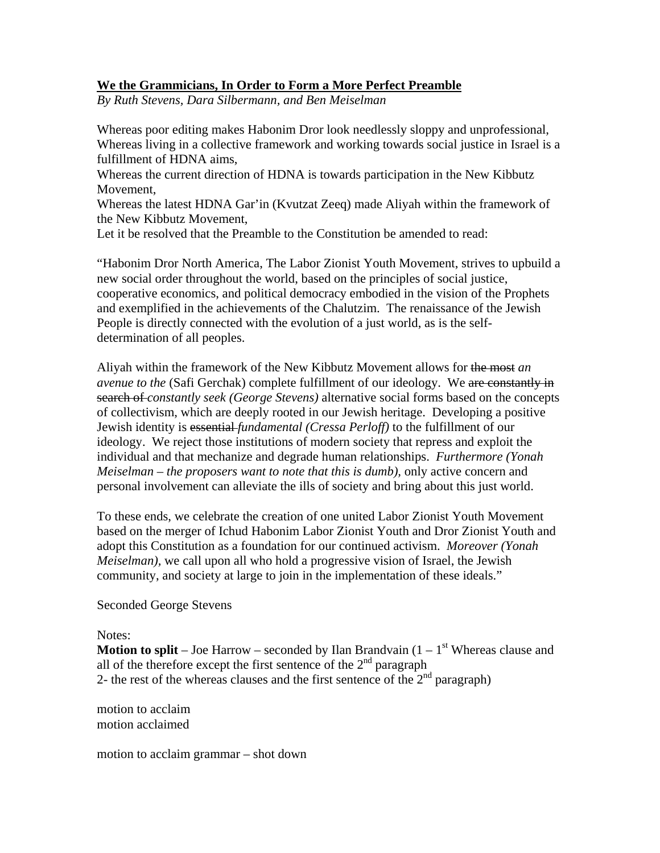## **We the Grammicians, In Order to Form a More Perfect Preamble**

*By Ruth Stevens, Dara Silbermann, and Ben Meiselman* 

Whereas poor editing makes Habonim Dror look needlessly sloppy and unprofessional, Whereas living in a collective framework and working towards social justice in Israel is a fulfillment of HDNA aims,

Whereas the current direction of HDNA is towards participation in the New Kibbutz Movement,

Whereas the latest HDNA Gar'in (Kvutzat Zeeq) made Aliyah within the framework of the New Kibbutz Movement,

Let it be resolved that the Preamble to the Constitution be amended to read:

"Habonim Dror North America, The Labor Zionist Youth Movement, strives to upbuild a new social order throughout the world, based on the principles of social justice, cooperative economics, and political democracy embodied in the vision of the Prophets and exemplified in the achievements of the Chalutzim. The renaissance of the Jewish People is directly connected with the evolution of a just world, as is the selfdetermination of all peoples.

Aliyah within the framework of the New Kibbutz Movement allows for the most *an avenue to the* (Safi Gerchak) complete fulfillment of our ideology. We are constantly in search of *constantly seek (George Stevens)* alternative social forms based on the concepts of collectivism, which are deeply rooted in our Jewish heritage. Developing a positive Jewish identity is essential *fundamental (Cressa Perloff)* to the fulfillment of our ideology. We reject those institutions of modern society that repress and exploit the individual and that mechanize and degrade human relationships. *Furthermore (Yonah Meiselman – the proposers want to note that this is dumb),* only active concern and personal involvement can alleviate the ills of society and bring about this just world.

To these ends, we celebrate the creation of one united Labor Zionist Youth Movement based on the merger of Ichud Habonim Labor Zionist Youth and Dror Zionist Youth and adopt this Constitution as a foundation for our continued activism. *Moreover (Yonah Meiselman),* we call upon all who hold a progressive vision of Israel, the Jewish community, and society at large to join in the implementation of these ideals."

Seconded George Stevens

#### Notes:

**Motion to split** – Joe Harrow – seconded by Ilan Brandvain  $(1 - 1)$ <sup>st</sup> Whereas clause and all of the therefore except the first sentence of the  $2<sup>nd</sup>$  paragraph 2- the rest of the whereas clauses and the first sentence of the  $2<sup>nd</sup>$  paragraph)

motion to acclaim motion acclaimed

motion to acclaim grammar – shot down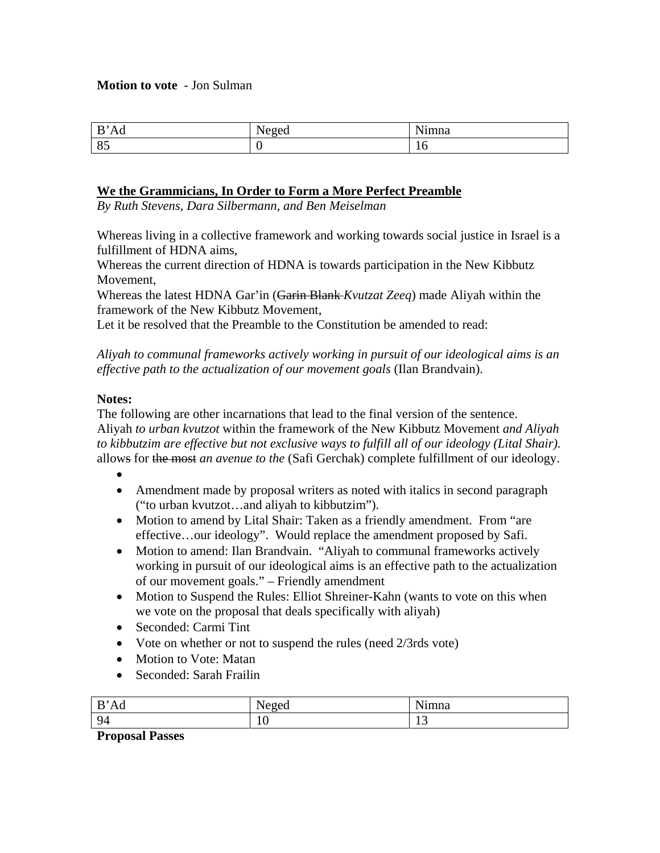#### **Motion to vote** - Jon Sulman

| D<br>Ađ<br>D | $\mathbf{r}$<br>AMAN<br>.vu | <b>NT:</b><br>ımna |
|--------------|-----------------------------|--------------------|
| $-87$<br>ັບ  |                             | 1 V                |

#### **We the Grammicians, In Order to Form a More Perfect Preamble**

*By Ruth Stevens, Dara Silbermann, and Ben Meiselman* 

Whereas living in a collective framework and working towards social justice in Israel is a fulfillment of HDNA aims,

Whereas the current direction of HDNA is towards participation in the New Kibbutz Movement,

Whereas the latest HDNA Gar'in (Garin Blank *Kvutzat Zeeq*) made Aliyah within the framework of the New Kibbutz Movement,

Let it be resolved that the Preamble to the Constitution be amended to read:

*Aliyah to communal frameworks actively working in pursuit of our ideological aims is an effective path to the actualization of our movement goals* (Ilan Brandvain).

#### **Notes:**

The following are other incarnations that lead to the final version of the sentence. Aliyah *to urban kvutzot* within the framework of the New Kibbutz Movement *and Aliyah to kibbutzim are effective but not exclusive ways to fulfill all of our ideology (Lital Shair).*  allows for the most *an avenue to the* (Safi Gerchak) complete fulfillment of our ideology.

- • Amendment made by proposal writers as noted with italics in second paragraph ("to urban kvutzot…and aliyah to kibbutzim").
- Motion to amend by Lital Shair: Taken as a friendly amendment. From "are effective…our ideology". Would replace the amendment proposed by Safi.
- Motion to amend: Ilan Brandvain. "Aliyah to communal frameworks actively working in pursuit of our ideological aims is an effective path to the actualization of our movement goals." – Friendly amendment
- Motion to Suspend the Rules: Elliot Shreiner-Kahn (wants to vote on this when we vote on the proposal that deals specifically with aliyah)
- Seconded: Carmi Tint
- Vote on whether or not to suspend the rules (need 2/3rds vote)
- Motion to Vote: Matan
- Seconded: Sarah Frailin

| –<br>$\mathbf{u}$<br>-<br>the contract of the contract of | - -<br>ັ | $\sim$ $\cdot$<br>-<br>22222<br>,,,,,,, |
|-----------------------------------------------------------|----------|-----------------------------------------|
| $\sim$<br>94                                              | 1 V      |                                         |

#### **Proposal Passes**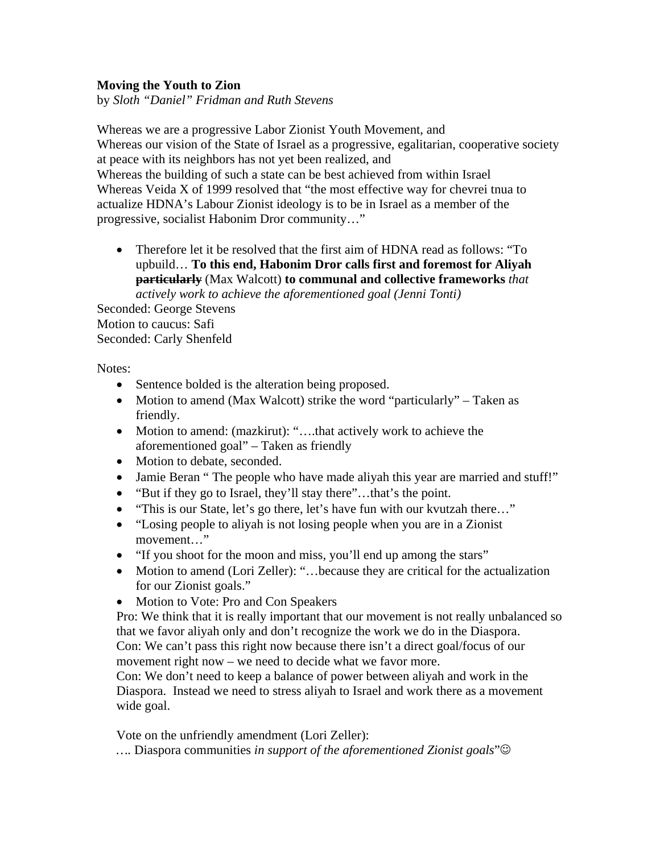## **Moving the Youth to Zion**

by *Sloth "Daniel" Fridman and Ruth Stevens*

Whereas we are a progressive Labor Zionist Youth Movement, and Whereas our vision of the State of Israel as a progressive, egalitarian, cooperative society at peace with its neighbors has not yet been realized, and Whereas the building of such a state can be best achieved from within Israel Whereas Veida X of 1999 resolved that "the most effective way for chevrei tnua to actualize HDNA's Labour Zionist ideology is to be in Israel as a member of the progressive, socialist Habonim Dror community…"

• Therefore let it be resolved that the first aim of HDNA read as follows: "To upbuild… **To this end, Habonim Dror calls first and foremost for Aliyah particularly** (Max Walcott) **to communal and collective frameworks** *that actively work to achieve the aforementioned goal (Jenni Tonti)*

Seconded: George Stevens Motion to caucus: Safi Seconded: Carly Shenfeld

Notes:

- Sentence bolded is the alteration being proposed.
- Motion to amend (Max Walcott) strike the word "particularly" Taken as friendly.
- Motion to amend: (mazkirut): "....that actively work to achieve the aforementioned goal" – Taken as friendly
- Motion to debate, seconded.
- Jamie Beran " The people who have made aliyah this year are married and stuff!"
- "But if they go to Israel, they'll stay there"...that's the point.
- "This is our State, let's go there, let's have fun with our kvutzah there…"
- "Losing people to aliyah is not losing people when you are in a Zionist movement…"
- "If you shoot for the moon and miss, you'll end up among the stars"
- Motion to amend (Lori Zeller): "...because they are critical for the actualization for our Zionist goals."
- Motion to Vote: Pro and Con Speakers

Pro: We think that it is really important that our movement is not really unbalanced so that we favor aliyah only and don't recognize the work we do in the Diaspora. Con: We can't pass this right now because there isn't a direct goal/focus of our movement right now – we need to decide what we favor more.

Con: We don't need to keep a balance of power between aliyah and work in the Diaspora. Instead we need to stress aliyah to Israel and work there as a movement wide goal.

Vote on the unfriendly amendment (Lori Zeller):

*….* Diaspora communities *in support of the aforementioned Zionist goals*"☺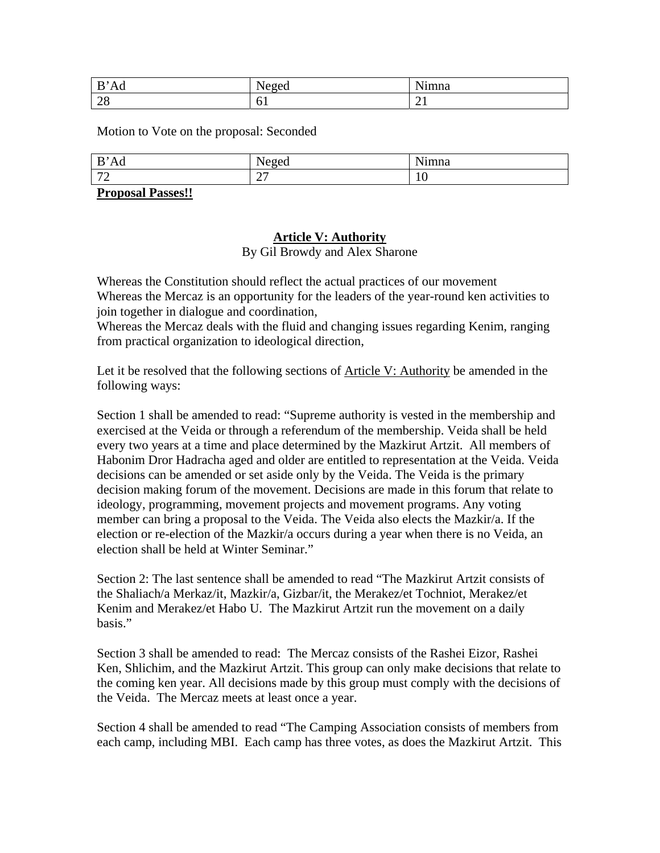| D.<br>Ad<br>D | <br>$\Delta \Omega$<br>.vu | $\mathbf{v}$<br>ımna |
|---------------|----------------------------|----------------------|
| $\bigcap C$   | . .                        | ▰                    |
| $\angle 0$    | v.                         |                      |

Motion to Vote on the proposal: Seconded

| B<br>Ad                                         | <b>RT</b><br>$\Delta$ 0 $\alpha$<br>$\sim$ | $\mathbf{X}$<br>ımna    |
|-------------------------------------------------|--------------------------------------------|-------------------------|
| $\mathbf{z}$<br><u>۔</u>                        | $\sim$<br>ا ت                              | $\epsilon$<br>-4<br>1 V |
| $\mathbf{r}$<br>. .<br>$\overline{\phantom{a}}$ |                                            |                         |

**Proposal Passes!!**

# **Article V: Authority** By Gil Browdy and Alex Sharone

Whereas the Constitution should reflect the actual practices of our movement Whereas the Mercaz is an opportunity for the leaders of the year-round ken activities to join together in dialogue and coordination,

Whereas the Mercaz deals with the fluid and changing issues regarding Kenim, ranging from practical organization to ideological direction,

Let it be resolved that the following sections of Article V: Authority be amended in the following ways:

Section 1 shall be amended to read: "Supreme authority is vested in the membership and exercised at the Veida or through a referendum of the membership. Veida shall be held every two years at a time and place determined by the Mazkirut Artzit. All members of Habonim Dror Hadracha aged and older are entitled to representation at the Veida. Veida decisions can be amended or set aside only by the Veida. The Veida is the primary decision making forum of the movement. Decisions are made in this forum that relate to ideology, programming, movement projects and movement programs. Any voting member can bring a proposal to the Veida. The Veida also elects the Mazkir/a. If the election or re-election of the Mazkir/a occurs during a year when there is no Veida, an election shall be held at Winter Seminar."

Section 2: The last sentence shall be amended to read "The Mazkirut Artzit consists of the Shaliach/a Merkaz/it, Mazkir/a, Gizbar/it, the Merakez/et Tochniot, Merakez/et Kenim and Merakez/et Habo U. The Mazkirut Artzit run the movement on a daily basis."

Section 3 shall be amended to read: The Mercaz consists of the Rashei Eizor, Rashei Ken, Shlichim, and the Mazkirut Artzit. This group can only make decisions that relate to the coming ken year. All decisions made by this group must comply with the decisions of the Veida. The Mercaz meets at least once a year.

Section 4 shall be amended to read "The Camping Association consists of members from each camp, including MBI. Each camp has three votes, as does the Mazkirut Artzit. This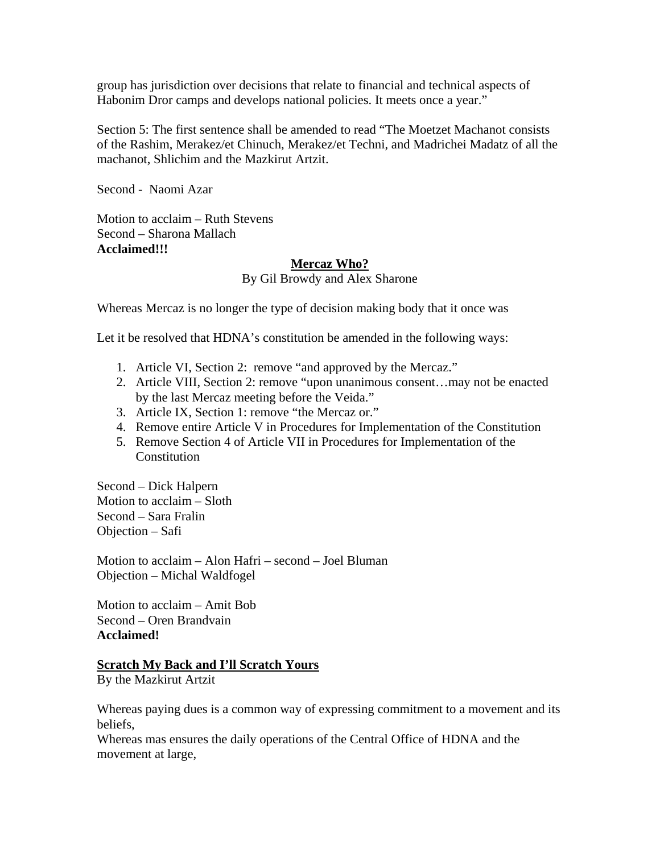group has jurisdiction over decisions that relate to financial and technical aspects of Habonim Dror camps and develops national policies. It meets once a year."

Section 5: The first sentence shall be amended to read "The Moetzet Machanot consists of the Rashim, Merakez/et Chinuch, Merakez/et Techni, and Madrichei Madatz of all the machanot, Shlichim and the Mazkirut Artzit.

Second - Naomi Azar

Motion to acclaim – Ruth Stevens Second – Sharona Mallach **Acclaimed!!!** 

#### **Mercaz Who?**

By Gil Browdy and Alex Sharone

Whereas Mercaz is no longer the type of decision making body that it once was

Let it be resolved that HDNA's constitution be amended in the following ways:

- 1. Article VI, Section 2: remove "and approved by the Mercaz."
- 2. Article VIII, Section 2: remove "upon unanimous consent…may not be enacted by the last Mercaz meeting before the Veida."
- 3. Article IX, Section 1: remove "the Mercaz or."
- 4. Remove entire Article V in Procedures for Implementation of the Constitution
- 5. Remove Section 4 of Article VII in Procedures for Implementation of the Constitution

Second – Dick Halpern Motion to acclaim – Sloth Second – Sara Fralin Objection – Safi

Motion to acclaim – Alon Hafri – second – Joel Bluman Objection – Michal Waldfogel

Motion to acclaim – Amit Bob Second – Oren Brandvain **Acclaimed!** 

## **Scratch My Back and I'll Scratch Yours**

By the Mazkirut Artzit

Whereas paying dues is a common way of expressing commitment to a movement and its beliefs,

Whereas mas ensures the daily operations of the Central Office of HDNA and the movement at large,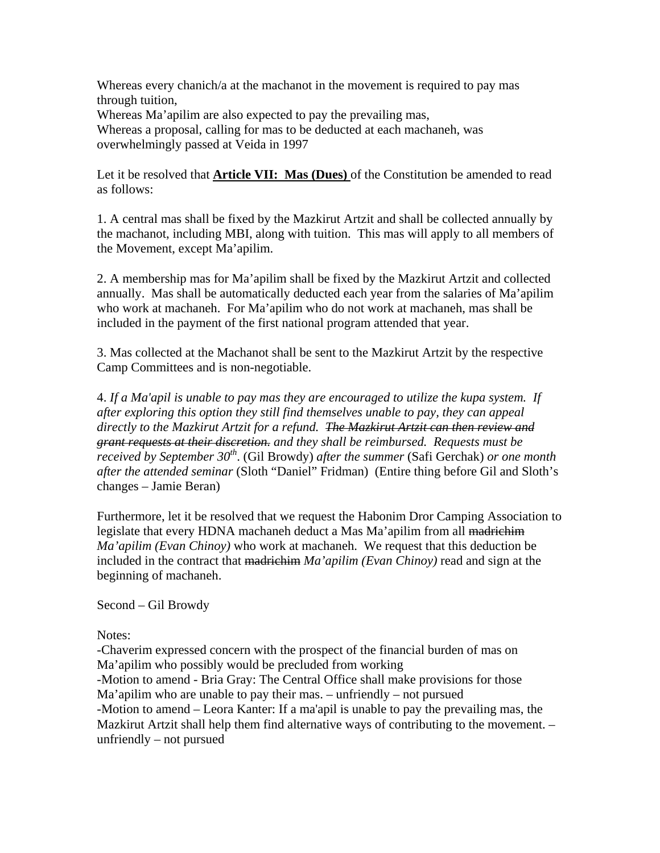Whereas every chanich/a at the machanot in the movement is required to pay mas through tuition, Whereas Ma'apilim are also expected to pay the prevailing mas, Whereas a proposal, calling for mas to be deducted at each machaneh, was overwhelmingly passed at Veida in 1997

Let it be resolved that **Article VII: Mas (Dues)** of the Constitution be amended to read as follows:

1. A central mas shall be fixed by the Mazkirut Artzit and shall be collected annually by the machanot, including MBI, along with tuition. This mas will apply to all members of the Movement, except Ma'apilim.

2. A membership mas for Ma'apilim shall be fixed by the Mazkirut Artzit and collected annually. Mas shall be automatically deducted each year from the salaries of Ma'apilim who work at machaneh. For Ma'apilim who do not work at machaneh, mas shall be included in the payment of the first national program attended that year.

3. Mas collected at the Machanot shall be sent to the Mazkirut Artzit by the respective Camp Committees and is non-negotiable.

4. *If a Ma'apil is unable to pay mas they are encouraged to utilize the kupa system. If after exploring this option they still find themselves unable to pay, they can appeal directly to the Mazkirut Artzit for a refund. The Mazkirut Artzit can then review and grant requests at their discretion. and they shall be reimbursed. Requests must be received by September 30<sup>th</sup>.* (Gil Browdy) *after the summer* (Safi Gerchak) *or one month after the attended seminar* (Sloth "Daniel" Fridman) (Entire thing before Gil and Sloth's changes – Jamie Beran)

Furthermore, let it be resolved that we request the Habonim Dror Camping Association to legislate that every HDNA machaneh deduct a Mas Ma'apilim from all madrichim *Ma'apilim (Evan Chinoy)* who work at machaneh. We request that this deduction be included in the contract that madrichim *Ma'apilim (Evan Chinoy)* read and sign at the beginning of machaneh.

Second – Gil Browdy

Notes:

-Chaverim expressed concern with the prospect of the financial burden of mas on Ma'apilim who possibly would be precluded from working -Motion to amend - Bria Gray: The Central Office shall make provisions for those Ma'apilim who are unable to pay their mas. – unfriendly – not pursued -Motion to amend – Leora Kanter: If a ma'apil is unable to pay the prevailing mas, the Mazkirut Artzit shall help them find alternative ways of contributing to the movement. – unfriendly – not pursued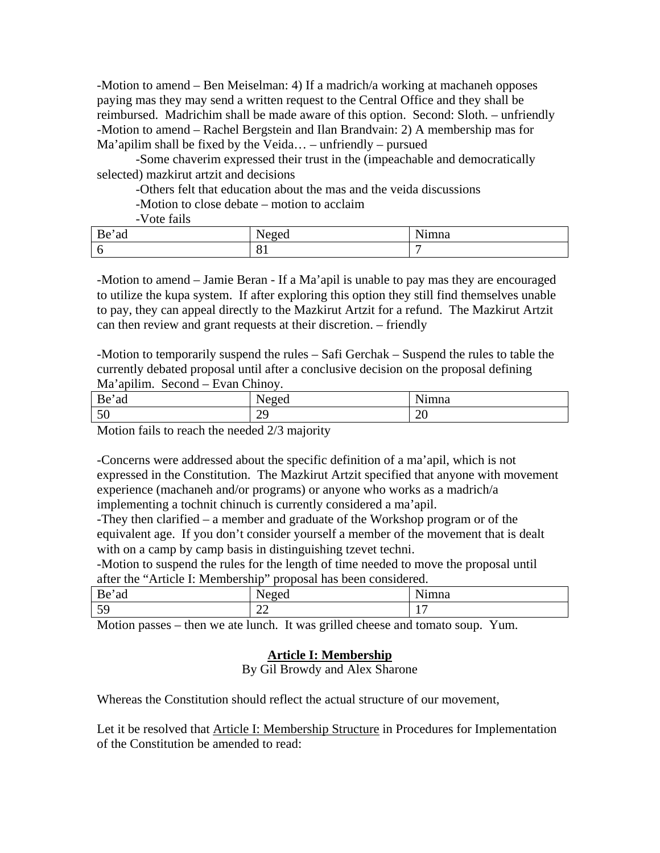-Motion to amend – Ben Meiselman: 4) If a madrich/a working at machaneh opposes paying mas they may send a written request to the Central Office and they shall be reimbursed. Madrichim shall be made aware of this option. Second: Sloth. – unfriendly -Motion to amend – Rachel Bergstein and Ilan Brandvain: 2) A membership mas for Ma'apilim shall be fixed by the Veida… – unfriendly – pursued

 -Some chaverim expressed their trust in the (impeachable and democratically selected) mazkirut artzit and decisions

-Others felt that education about the mas and the veida discussions

-Motion to close debate – motion to acclaim

-Vote fails

| Be<br>ad | - -<br>$\alpha$<br>◡◡ | $\mathbf{v}$<br>1 <sub>mna</sub> |
|----------|-----------------------|----------------------------------|
|          | Ω1<br><b>υ</b>        |                                  |

-Motion to amend – Jamie Beran - If a Ma'apil is unable to pay mas they are encouraged to utilize the kupa system. If after exploring this option they still find themselves unable to pay, they can appeal directly to the Mazkirut Artzit for a refund. The Mazkirut Artzit can then review and grant requests at their discretion. – friendly

-Motion to temporarily suspend the rules – Safi Gerchak – Suspend the rules to table the currently debated proposal until after a conclusive decision on the proposal defining Ma'apilim. Second – Evan Chinoy.

| Be<br>ad | . .<br>$\Delta$ 0 $\alpha$<br>10ecu | $\mathbf{v}$<br> 1mna |
|----------|-------------------------------------|-----------------------|
| 50       | $\cap$<br>ر ب                       | nr<br>$\omega$        |

Motion fails to reach the needed 2/3 majority

-Concerns were addressed about the specific definition of a ma'apil, which is not expressed in the Constitution. The Mazkirut Artzit specified that anyone with movement experience (machaneh and/or programs) or anyone who works as a madrich/a implementing a tochnit chinuch is currently considered a ma'apil.

-They then clarified – a member and graduate of the Workshop program or of the equivalent age. If you don't consider yourself a member of the movement that is dealt with on a camp by camp basis in distinguishing tzevet techni.

-Motion to suspend the rules for the length of time needed to move the proposal until after the "Article I: Membership" proposal has been considered.

| $\mathbf{r}$<br>Вe<br>ad | $\mathbf{v}$<br>$\Delta$ $\alpha$<br>.vu | $\mathbf{v}$<br>mna                  |
|--------------------------|------------------------------------------|--------------------------------------|
| 50<br>ັ                  | $\bigcap$<br>∠∠<br>—                     | -<br>$\overline{\phantom{a}}$<br>. . |

Motion passes – then we ate lunch. It was grilled cheese and tomato soup. Yum.

# **Article I: Membership**

By Gil Browdy and Alex Sharone

Whereas the Constitution should reflect the actual structure of our movement,

Let it be resolved that Article I: Membership Structure in Procedures for Implementation of the Constitution be amended to read: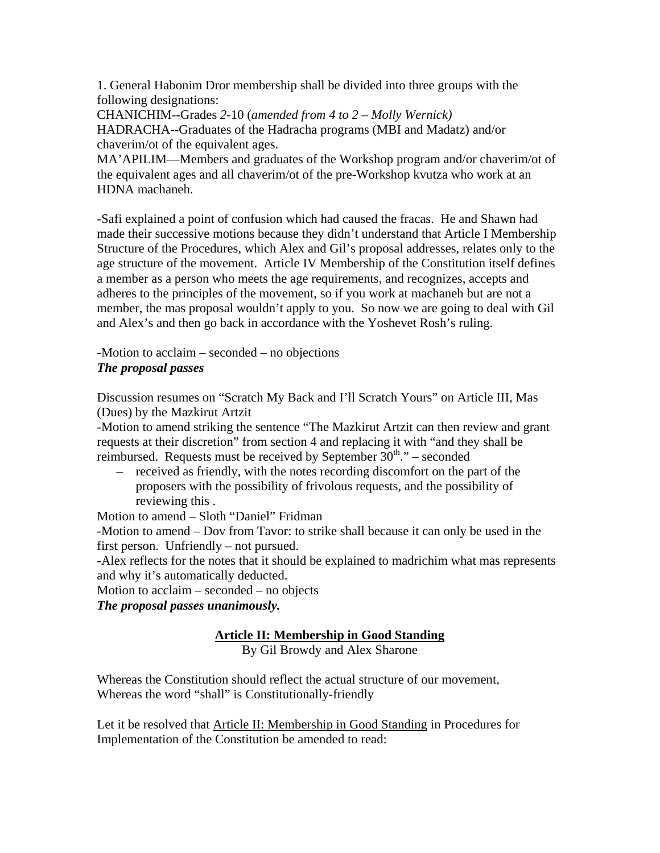1. General Habonim Dror membership shall be divided into three groups with the following designations:

CHANICHIM--Grades *2*-10 (*amended from 4 to 2 – Molly Wernick)*  HADRACHA--Graduates of the Hadracha programs (MBI and Madatz) and/or chaverim/ot of the equivalent ages.

MA'APILIM—Members and graduates of the Workshop program and/or chaverim/ot of the equivalent ages and all chaverim/ot of the pre-Workshop kvutza who work at an HDNA machaneh.

-Safi explained a point of confusion which had caused the fracas. He and Shawn had made their successive motions because they didn't understand that Article I Membership Structure of the Procedures, which Alex and Gil's proposal addresses, relates only to the age structure of the movement. Article IV Membership of the Constitution itself defines a member as a person who meets the age requirements, and recognizes, accepts and adheres to the principles of the movement, so if you work at machaneh but are not a member, the mas proposal wouldn't apply to you. So now we are going to deal with Gil and Alex's and then go back in accordance with the Yoshevet Rosh's ruling.

-Motion to acclaim – seconded – no objections *The proposal passes* 

Discussion resumes on "Scratch My Back and I'll Scratch Yours" on Article III, Mas (Dues) by the Mazkirut Artzit

-Motion to amend striking the sentence "The Mazkirut Artzit can then review and grant requests at their discretion" from section 4 and replacing it with "and they shall be reimbursed. Requests must be received by September  $30<sup>th</sup>$ ." – seconded

– received as friendly, with the notes recording discomfort on the part of the proposers with the possibility of frivolous requests, and the possibility of reviewing this.

Motion to amend – Sloth "Daniel" Fridman

-Motion to amend – Dov from Tavor: to strike shall because it can only be used in the first person. Unfriendly – not pursued.

-Alex reflects for the notes that it should be explained to madrichim what mas represents and why it's automatically deducted.

Motion to acclaim – seconded – no objects

*The proposal passes unanimously.*

# **Article II: Membership in Good Standing**

By Gil Browdy and Alex Sharone

Whereas the Constitution should reflect the actual structure of our movement, Whereas the word "shall" is Constitutionally-friendly

Let it be resolved that Article II: Membership in Good Standing in Procedures for Implementation of the Constitution be amended to read: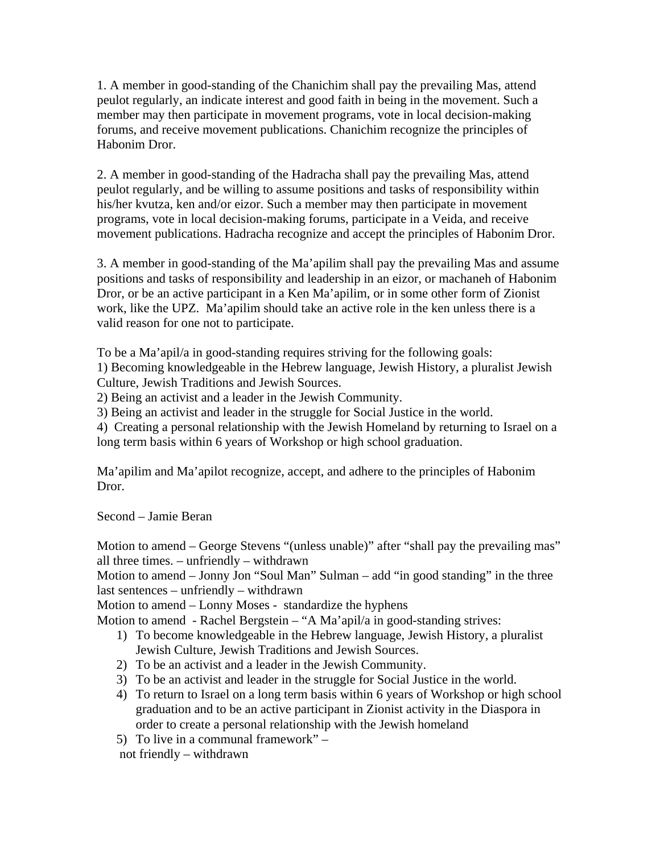1. A member in good-standing of the Chanichim shall pay the prevailing Mas, attend peulot regularly, an indicate interest and good faith in being in the movement. Such a member may then participate in movement programs, vote in local decision-making forums, and receive movement publications. Chanichim recognize the principles of Habonim Dror.

2. A member in good-standing of the Hadracha shall pay the prevailing Mas, attend peulot regularly, and be willing to assume positions and tasks of responsibility within his/her kvutza, ken and/or eizor. Such a member may then participate in movement programs, vote in local decision-making forums, participate in a Veida, and receive movement publications. Hadracha recognize and accept the principles of Habonim Dror.

3. A member in good-standing of the Ma'apilim shall pay the prevailing Mas and assume positions and tasks of responsibility and leadership in an eizor, or machaneh of Habonim Dror, or be an active participant in a Ken Ma'apilim, or in some other form of Zionist work, like the UPZ. Ma'apilim should take an active role in the ken unless there is a valid reason for one not to participate.

To be a Ma'apil/a in good-standing requires striving for the following goals:

1) Becoming knowledgeable in the Hebrew language, Jewish History, a pluralist Jewish Culture, Jewish Traditions and Jewish Sources.

2) Being an activist and a leader in the Jewish Community.

3) Being an activist and leader in the struggle for Social Justice in the world.

4)Creating a personal relationship with the Jewish Homeland by returning to Israel on a long term basis within 6 years of Workshop or high school graduation.

Ma'apilim and Ma'apilot recognize, accept, and adhere to the principles of Habonim Dror.

Second – Jamie Beran

Motion to amend – George Stevens "(unless unable)" after "shall pay the prevailing mas" all three times. – unfriendly – withdrawn

Motion to amend – Jonny Jon "Soul Man" Sulman – add "in good standing" in the three last sentences – unfriendly – withdrawn

Motion to amend – Lonny Moses - standardize the hyphens

Motion to amend - Rachel Bergstein – "A Ma'apil/a in good-standing strives:

- 1) To become knowledgeable in the Hebrew language, Jewish History, a pluralist Jewish Culture, Jewish Traditions and Jewish Sources.
- 2) To be an activist and a leader in the Jewish Community.
- 3) To be an activist and leader in the struggle for Social Justice in the world.
- 4) To return to Israel on a long term basis within 6 years of Workshop or high school graduation and to be an active participant in Zionist activity in the Diaspora in order to create a personal relationship with the Jewish homeland
- 5) To live in a communal framework" –

not friendly – withdrawn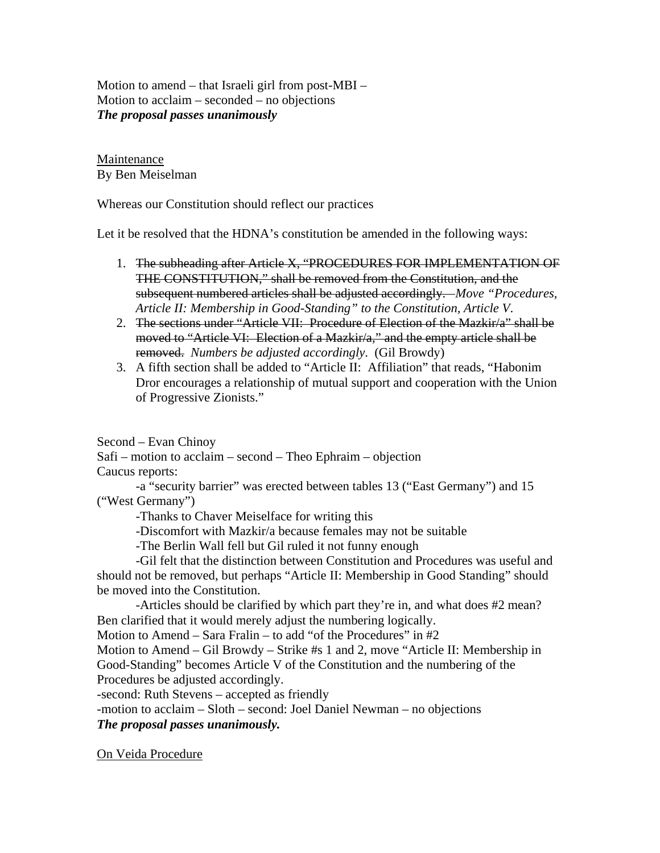Motion to amend – that Israeli girl from post-MBI – Motion to acclaim – seconded – no objections *The proposal passes unanimously* 

Maintenance By Ben Meiselman

Whereas our Constitution should reflect our practices

Let it be resolved that the HDNA's constitution be amended in the following ways:

- 1. The subheading after Article X, "PROCEDURES FOR IMPLEMENTATION OF THE CONSTITUTION," shall be removed from the Constitution, and the subsequent numbered articles shall be adjusted accordingly. *Move "Procedures, Article II: Membership in Good-Standing" to the Constitution, Article V*.
- 2. The sections under "Article VII: Procedure of Election of the Mazkir/a" shall be moved to "Article VI: Election of a Mazkir/a," and the empty article shall be removed. *Numbers be adjusted accordingly*. (Gil Browdy)
- 3. A fifth section shall be added to "Article II: Affiliation" that reads, "Habonim Dror encourages a relationship of mutual support and cooperation with the Union of Progressive Zionists."

Second – Evan Chinoy

Safi – motion to acclaim – second – Theo Ephraim – objection Caucus reports:

 -a "security barrier" was erected between tables 13 ("East Germany") and 15 ("West Germany")

-Thanks to Chaver Meiselface for writing this

-Discomfort with Mazkir/a because females may not be suitable

-The Berlin Wall fell but Gil ruled it not funny enough

 -Gil felt that the distinction between Constitution and Procedures was useful and should not be removed, but perhaps "Article II: Membership in Good Standing" should be moved into the Constitution.

 -Articles should be clarified by which part they're in, and what does #2 mean? Ben clarified that it would merely adjust the numbering logically.

Motion to Amend – Sara Fralin – to add "of the Procedures" in  $#2$ 

Motion to Amend – Gil Browdy – Strike #s 1 and 2, move "Article II: Membership in Good-Standing" becomes Article V of the Constitution and the numbering of the Procedures be adjusted accordingly.

-second: Ruth Stevens – accepted as friendly

-motion to acclaim – Sloth – second: Joel Daniel Newman – no objections *The proposal passes unanimously.*

On Veida Procedure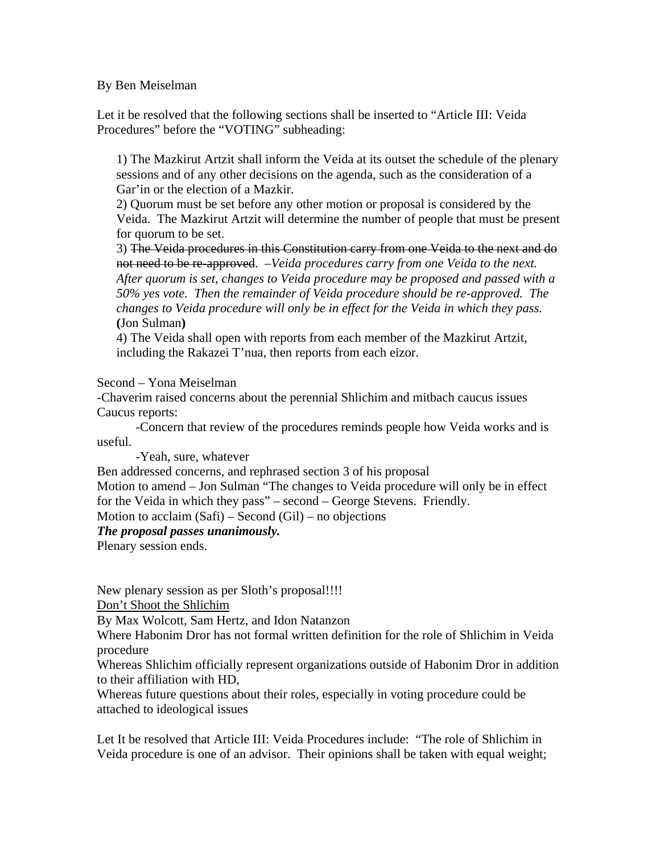## By Ben Meiselman

Let it be resolved that the following sections shall be inserted to "Article III: Veida Procedures" before the "VOTING" subheading:

1) The Mazkirut Artzit shall inform the Veida at its outset the schedule of the plenary sessions and of any other decisions on the agenda, such as the consideration of a Gar'in or the election of a Mazkir.

2) Quorum must be set before any other motion or proposal is considered by the Veida. The Mazkirut Artzit will determine the number of people that must be present for quorum to be set.

3) The Veida procedures in this Constitution carry from one Veida to the next and do not need to be re-approved. –*Veida procedures carry from one Veida to the next. After quorum is set, changes to Veida procedure may be proposed and passed with a 50% yes vote. Then the remainder of Veida procedure should be re-approved. The changes to Veida procedure will only be in effect for the Veida in which they pass.* **(**Jon Sulman**)**

4) The Veida shall open with reports from each member of the Mazkirut Artzit, including the Rakazei T'nua, then reports from each eizor.

Second – Yona Meiselman

-Chaverim raised concerns about the perennial Shlichim and mitbach caucus issues Caucus reports:

 -Concern that review of the procedures reminds people how Veida works and is useful.

-Yeah, sure, whatever

Ben addressed concerns, and rephrased section 3 of his proposal

Motion to amend – Jon Sulman "The changes to Veida procedure will only be in effect for the Veida in which they pass" – second – George Stevens. Friendly.

Motion to acclaim  $(Safi)$  – Second  $(Gil)$  – no objections

## *The proposal passes unanimously.*

Plenary session ends.

New plenary session as per Sloth's proposal!!!!

Don't Shoot the Shlichim

By Max Wolcott, Sam Hertz, and Idon Natanzon

Where Habonim Dror has not formal written definition for the role of Shlichim in Veida procedure

Whereas Shlichim officially represent organizations outside of Habonim Dror in addition to their affiliation with HD,

Whereas future questions about their roles, especially in voting procedure could be attached to ideological issues

Let It be resolved that Article III: Veida Procedures include: "The role of Shlichim in Veida procedure is one of an advisor. Their opinions shall be taken with equal weight;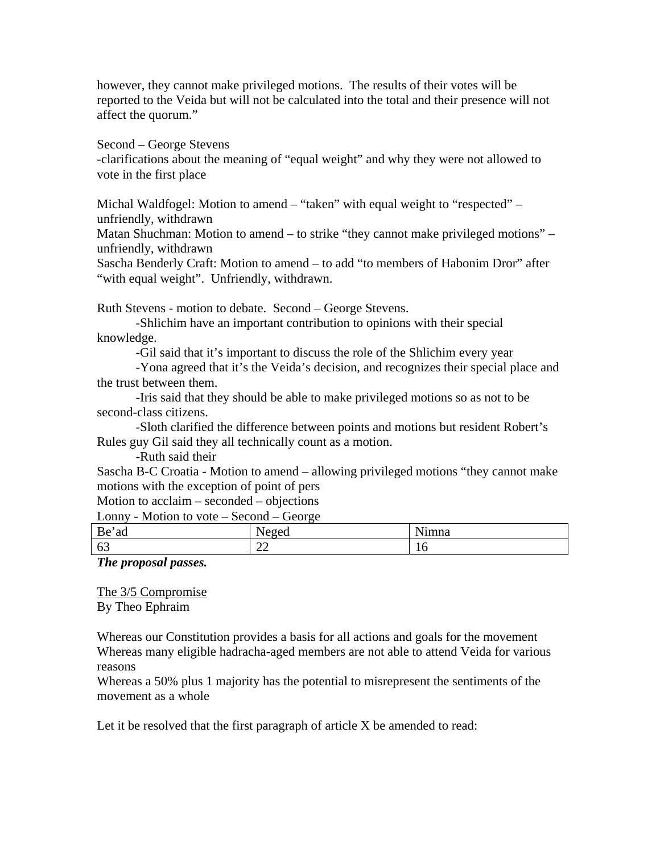however, they cannot make privileged motions. The results of their votes will be reported to the Veida but will not be calculated into the total and their presence will not affect the quorum."

Second – George Stevens

-clarifications about the meaning of "equal weight" and why they were not allowed to vote in the first place

Michal Waldfogel: Motion to amend – "taken" with equal weight to "respected" – unfriendly, withdrawn

Matan Shuchman: Motion to amend – to strike "they cannot make privileged motions" – unfriendly, withdrawn

Sascha Benderly Craft: Motion to amend – to add "to members of Habonim Dror" after "with equal weight". Unfriendly, withdrawn.

Ruth Stevens - motion to debate. Second – George Stevens.

 -Shlichim have an important contribution to opinions with their special knowledge.

-Gil said that it's important to discuss the role of the Shlichim every year

 -Yona agreed that it's the Veida's decision, and recognizes their special place and the trust between them.

 -Iris said that they should be able to make privileged motions so as not to be second-class citizens.

 -Sloth clarified the difference between points and motions but resident Robert's Rules guy Gil said they all technically count as a motion.

-Ruth said their

Sascha B-C Croatia - Motion to amend – allowing privileged motions "they cannot make motions with the exception of point of pers

Motion to acclaim – seconded – objections

Lonny - Motion to vote – Second – George

| Be<br>ad | --<br>$A^{\alpha}$<br>◥            | .<br>ımna |
|----------|------------------------------------|-----------|
| 63       | $\sim$<br>$\overline{\phantom{m}}$ | 1 V       |

*The proposal passes.*

The 3/5 Compromise By Theo Ephraim

Whereas our Constitution provides a basis for all actions and goals for the movement Whereas many eligible hadracha-aged members are not able to attend Veida for various reasons

Whereas a 50% plus 1 majority has the potential to misrepresent the sentiments of the movement as a whole

Let it be resolved that the first paragraph of article X be amended to read: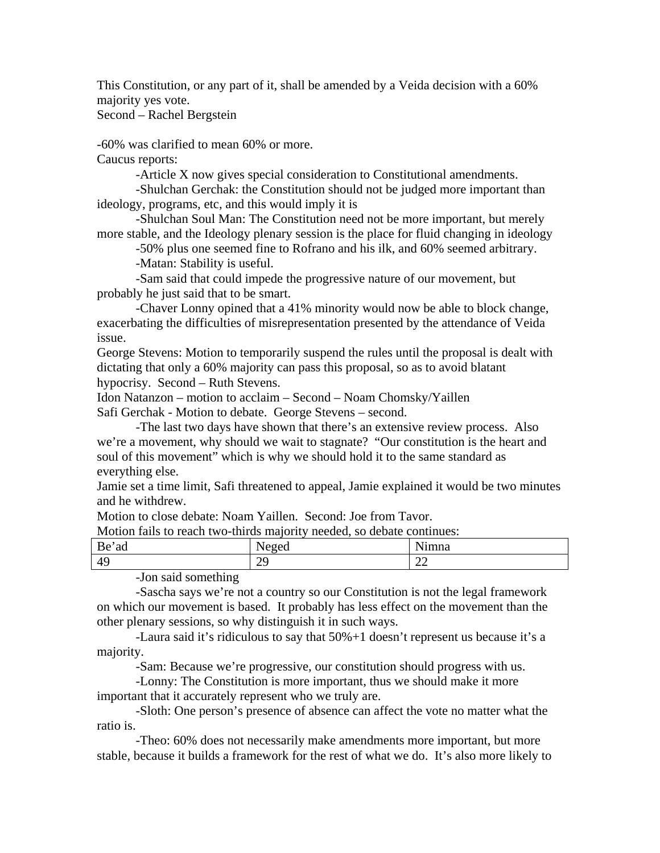This Constitution, or any part of it, shall be amended by a Veida decision with a 60% majority yes vote.

Second – Rachel Bergstein

-60% was clarified to mean 60% or more.

Caucus reports:

-Article X now gives special consideration to Constitutional amendments.

 -Shulchan Gerchak: the Constitution should not be judged more important than ideology, programs, etc, and this would imply it is

 -Shulchan Soul Man: The Constitution need not be more important, but merely more stable, and the Ideology plenary session is the place for fluid changing in ideology

 -50% plus one seemed fine to Rofrano and his ilk, and 60% seemed arbitrary. -Matan: Stability is useful.

 -Sam said that could impede the progressive nature of our movement, but probably he just said that to be smart.

 -Chaver Lonny opined that a 41% minority would now be able to block change, exacerbating the difficulties of misrepresentation presented by the attendance of Veida issue.

George Stevens: Motion to temporarily suspend the rules until the proposal is dealt with dictating that only a 60% majority can pass this proposal, so as to avoid blatant hypocrisy. Second – Ruth Stevens.

Idon Natanzon – motion to acclaim – Second – Noam Chomsky/Yaillen

Safi Gerchak - Motion to debate. George Stevens – second.

 -The last two days have shown that there's an extensive review process. Also we're a movement, why should we wait to stagnate? "Our constitution is the heart and soul of this movement" which is why we should hold it to the same standard as everything else.

Jamie set a time limit, Safi threatened to appeal, Jamie explained it would be two minutes and he withdrew.

Motion to close debate: Noam Yaillen. Second: Joe from Tavor.

| Motion fails to reach two-thirds majority needed, so debate continues: |  |
|------------------------------------------------------------------------|--|
|------------------------------------------------------------------------|--|

| Be<br>≃ad                      | $\sim$ $\sim$<br>25.0 | $\mathbf{v}$<br>mna |
|--------------------------------|-----------------------|---------------------|
| 49                             | າດ<br>ر ب             | $\sim$<br>∠∠        |
| $\sim$ $\sim$<br>. .<br>$\sim$ |                       |                     |

-Jon said something

 -Sascha says we're not a country so our Constitution is not the legal framework on which our movement is based. It probably has less effect on the movement than the other plenary sessions, so why distinguish it in such ways.

 -Laura said it's ridiculous to say that 50%+1 doesn't represent us because it's a majority.

-Sam: Because we're progressive, our constitution should progress with us.

 -Lonny: The Constitution is more important, thus we should make it more important that it accurately represent who we truly are.

 -Sloth: One person's presence of absence can affect the vote no matter what the ratio is.

 -Theo: 60% does not necessarily make amendments more important, but more stable, because it builds a framework for the rest of what we do. It's also more likely to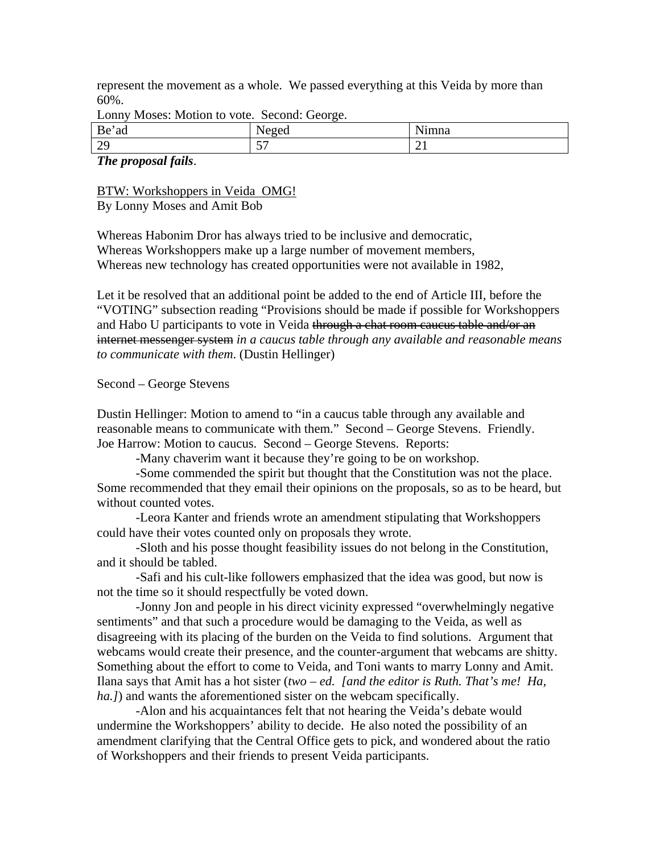represent the movement as a whole. We passed everything at this Veida by more than 60%.

| Be'ad  | $\Delta \Omega$ | $\cdots$<br>mna<br>пппа |
|--------|-----------------|-------------------------|
| $\sim$ | $\overline{a}$  | ∸                       |
| رے     | . U .           |                         |

Lonny Moses: Motion to vote. Second: George.

#### *The proposal fails*.

BTW: Workshoppers in Veida OMG! By Lonny Moses and Amit Bob

Whereas Habonim Dror has always tried to be inclusive and democratic, Whereas Workshoppers make up a large number of movement members, Whereas new technology has created opportunities were not available in 1982,

Let it be resolved that an additional point be added to the end of Article III, before the "VOTING" subsection reading "Provisions should be made if possible for Workshoppers and Habo U participants to vote in Veida through a chat room caucus table and/or an internet messenger system *in a caucus table through any available and reasonable means to communicate with them*. (Dustin Hellinger)

#### Second – George Stevens

Dustin Hellinger: Motion to amend to "in a caucus table through any available and reasonable means to communicate with them." Second – George Stevens. Friendly. Joe Harrow: Motion to caucus. Second – George Stevens. Reports:

-Many chaverim want it because they're going to be on workshop.

 -Some commended the spirit but thought that the Constitution was not the place. Some recommended that they email their opinions on the proposals, so as to be heard, but without counted votes.

 -Leora Kanter and friends wrote an amendment stipulating that Workshoppers could have their votes counted only on proposals they wrote.

 -Sloth and his posse thought feasibility issues do not belong in the Constitution, and it should be tabled.

 -Safi and his cult-like followers emphasized that the idea was good, but now is not the time so it should respectfully be voted down.

 -Jonny Jon and people in his direct vicinity expressed "overwhelmingly negative sentiments" and that such a procedure would be damaging to the Veida, as well as disagreeing with its placing of the burden on the Veida to find solutions. Argument that webcams would create their presence, and the counter-argument that webcams are shitty. Something about the effort to come to Veida, and Toni wants to marry Lonny and Amit. Ilana says that Amit has a hot sister (*two – ed. [and the editor is Ruth. That's me! Ha, ha.]*) and wants the aforementioned sister on the webcam specifically.

 -Alon and his acquaintances felt that not hearing the Veida's debate would undermine the Workshoppers' ability to decide. He also noted the possibility of an amendment clarifying that the Central Office gets to pick, and wondered about the ratio of Workshoppers and their friends to present Veida participants.